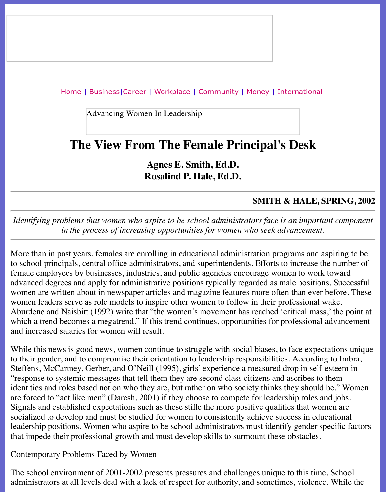Advancing Women In Leadership

## **The View From The Female Principal's Desk**

**[A](file:///awcareer.html)[gnes E. S](file:///workplace.html)[mith, Ed.D.](file:///ub/UltraBoard.cgi) Rosalind P. Hale, Ed.D.**

## **SMITH & HALE, SI**

*Identifying problems that women who aspire to be school administrators face is an importanty algential in the process of increasing opportunities for women who seek advancement.*

More than in past years, females are enrolling in educational administration programs and as to school principals, central office administrators, and superintendents. Efforts to increase the female employees by businesses, industries, and public agencies encourage women to work advanced degrees and apply for administrative positions typically regarded as male positions. women are written about in newspaper articles and magazine features more often than ever be women leaders serve as role models to inspire other women to follow in their professional w Aburdene and Naisbitt (1992) write that "the women's movement has reached 'critical mass, which a trend becomes a megatrend." If this trend continues, opportunities for professional a and increased salaries for women will result.

While this news is good news, women continue to struggle with social biases, to face expect to their gender, and to compromise their orientation to leadership responsibilities. According Steffens, McCartney, Gerber, and O'Neill (1995), girls' experience a measured drop in self-e "response to systemic messages that tell them they are second class citizens and ascribes to them identities and roles based not on who they are, but rather on who society thinks they should be." are forced to "act like men" (Daresh, 2001) if they choose to compete for leadership roles an Signals and established expectations such as these stifle the more positive qualities that wom socialized to develop and must be studied for women to consistently achieve success in educ leadership positions. Women who aspire to be school administrators must identify gender specific factors. that impede their professional growth and must develop skills to surmount these obstacles.

Contemporary Problems Faced by Women

The school environment of 2001-2002 presents pressures and challenges unique to this time. administrators at all levels deal with a lack of respect for authority, and sometimes, violence.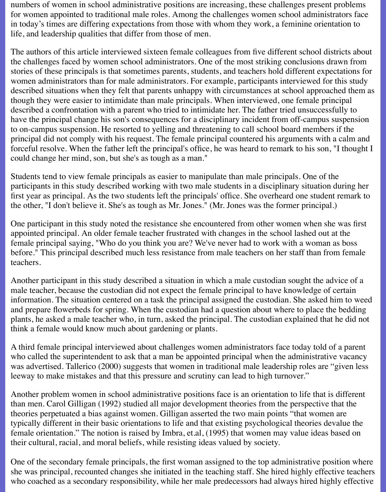numbers of women in school administrative positions are increasing, these challenges present problems for women appointed to traditional male roles. Among the challenges women school administrators face in today's times are differing expectations from those with whom they work, a feminine orientation to life, and leadership qualities that differ from those of men.

The authors of this article interviewed sixteen female colleagues from five different school districts about the challenges faced by women school administrators. One of the most striking conclusions drawn from stories of these principals is that sometimes parents, students, and teachers hold different expectations for women administrators than for male administrators. For example, participants interviewed for this study described situations when they felt that parents unhappy with circumstances at school approached them as though they were easier to intimidate than male principals. When interviewed, one female principal described a confrontation with a parent who tried to intimidate her. The father tried unsuccessfully to have the principal change his son's consequences for a disciplinary incident from off-campus suspension to on-campus suspension. He resorted to yelling and threatening to call school board members if the principal did not comply with his request. The female principal countered his arguments with a calm and forceful resolve. When the father left the principal's office, he was heard to remark to his son, "I thought I could change her mind, son, but she's as tough as a man."

Students tend to view female principals as easier to manipulate than male principals. One of the participants in this study described working with two male students in a disciplinary situation during her first year as principal. As the two students left the principals' office. She overheard one student remark to the other, "I don't believe it. She's as tough as Mr. Jones." (Mr. Jones was the former principal.)

One participant in this study noted the resistance she encountered from other women when she was first appointed principal. An older female teacher frustrated with changes in the school lashed out at the female principal saying, "Who do you think you are? We've never had to work with a woman as boss before." This principal described much less resistance from male teachers on her staff than from female teachers.

Another participant in this study described a situation in which a male custodian sought the advice of a male teacher, because the custodian did not expect the female principal to have knowledge of certain information. The situation centered on a task the principal assigned the custodian. She asked him to weed and prepare flowerbeds for spring. When the custodian had a question about where to place the bedding plants, he asked a male teacher who, in turn, asked the principal. The custodian explained that he did not think a female would know much about gardening or plants.

A third female principal interviewed about challenges women administrators face today told of a parent who called the superintendent to ask that a man be appointed principal when the administrative vacancy was advertised. Tallerico (2000) suggests that women in traditional male leadership roles are "given less leeway to make mistakes and that this pressure and scrutiny can lead to high turnover."

Another problem women in school administrative positions face is an orientation to life that is different than men. Carol Gilligan (1992) studied all major development theories from the perspective that the theories perpetuated a bias against women. Gilligan asserted the two main points "that women are typically different in their basic orientations to life and that existing psychological theories devalue the female orientation." The notion is raised by Imbra, et.al, (1995) that women may value ideas based on their cultural, racial, and moral beliefs, while resisting ideas valued by society.

One of the secondary female principals, the first woman assigned to the top administrative position where she was principal, recounted changes she initiated in the teaching staff. She hired highly effective teachers who coached as a secondary responsibility, while her male predecessors had always hired highly effective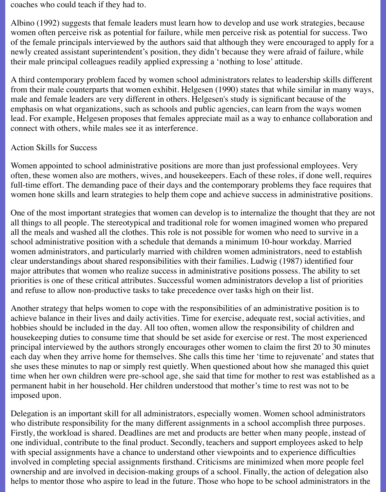coaches who could teach if they had to.

Albino (1992) suggests that female leaders must learn how to develop and use work strategies, because women often perceive risk as potential for failure, while men perceive risk as potential for success. Two of the female principals interviewed by the authors said that although they were encouraged to apply for a newly created assistant superintendent's position, they didn't because they were afraid of failure, while their male principal colleagues readily applied expressing a 'nothing to lose' attitude.

A third contemporary problem faced by women school administrators relates to leadership skills different from their male counterparts that women exhibit. Helgesen (1990) states that while similar in many ways, male and female leaders are very different in others. Helgesen's study is significant because of the emphasis on what organizations, such as schools and public agencies, can learn from the ways women lead. For example, Helgesen proposes that females appreciate mail as a way to enhance collaboration and connect with others, while males see it as interference.

## Action Skills for Success

Women appointed to school administrative positions are more than just professional employees. Very often, these women also are mothers, wives, and housekeepers. Each of these roles, if done well, requires full-time effort. The demanding pace of their days and the contemporary problems they face requires that women hone skills and learn strategies to help them cope and achieve success in administrative positions.

One of the most important strategies that women can develop is to internalize the thought that they are not all things to all people. The stereotypical and traditional role for women imagined women who prepared all the meals and washed all the clothes. This role is not possible for women who need to survive in a school administrative position with a schedule that demands a minimum 10-hour workday. Married women administrators, and particularly married with children women administrators, need to establish clear understandings about shared responsibilities with their families. Ludwig (1987) identified four major attributes that women who realize success in administrative positions possess. The ability to set priorities is one of these critical attributes. Successful women administrators develop a list of priorities and refuse to allow non-productive tasks to take precedence over tasks high on their list.

Another strategy that helps women to cope with the responsibilities of an administrative position is to achieve balance in their lives and daily activities. Time for exercise, adequate rest, social activities, and hobbies should be included in the day. All too often, women allow the responsibility of children and housekeeping duties to consume time that should be set aside for exercise or rest. The most experienced principal interviewed by the authors strongly encourages other women to claim the first 20 to 30 minutes each day when they arrive home for themselves. She calls this time her 'time to rejuvenate' and states that she uses these minutes to nap or simply rest quietly. When questioned about how she managed this quiet time when her own children were pre-school age, she said that time for mother to rest was established as a permanent habit in her household. Her children understood that mother's time to rest was not to be imposed upon.

Delegation is an important skill for all administrators, especially women. Women school administrators who distribute responsibility for the many different assignments in a school accomplish three purposes. Firstly, the workload is shared. Deadlines are met and products are better when many people, instead of one individual, contribute to the final product. Secondly, teachers and support employees asked to help with special assignments have a chance to understand other viewpoints and to experience difficulties involved in completing special assignments firsthand. Criticisms are minimized when more people feel ownership and are involved in decision-making groups of a school. Finally, the action of delegation also helps to mentor those who aspire to lead in the future. Those who hope to be school administrators in the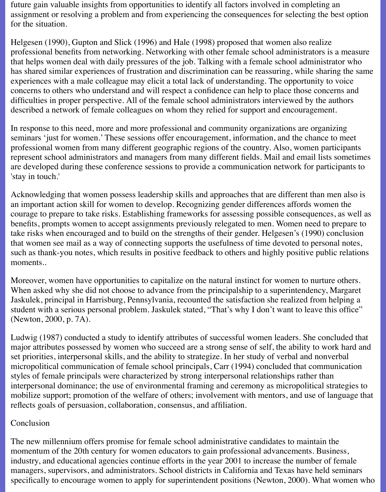future gain valuable insights from opportunities to identify all factors involved in completing an assignment or resolving a problem and from experiencing the consequences for selecting the best option for the situation.

Helgesen (1990), Gupton and Slick (1996) and Hale (1998) proposed that women also realize professional benefits from networking. Networking with other female school administrators is a measure that helps women deal with daily pressures of the job. Talking with a female school administrator who has shared similar experiences of frustration and discrimination can be reassuring, while sharing the same experiences with a male colleague may elicit a total lack of understanding. The opportunity to voice concerns to others who understand and will respect a confidence can help to place those concerns and difficulties in proper perspective. All of the female school administrators interviewed by the authors described a network of female colleagues on whom they relied for support and encouragement.

In response to this need, more and more professional and community organizations are organizing seminars 'just for women.' These sessions offer encouragement, information, and the chance to meet professional women from many different geographic regions of the country. Also, women participants represent school administrators and managers from many different fields. Mail and email lists sometimes are developed during these conference sessions to provide a communication network for participants to 'stay in touch.'

Acknowledging that women possess leadership skills and approaches that are different than men also is an important action skill for women to develop. Recognizing gender differences affords women the courage to prepare to take risks. Establishing frameworks for assessing possible consequences, as well as benefits, prompts women to accept assignments previously relegated to men. Women need to prepare to take risks when encouraged and to build on the strengths of their gender. Helgesen's (1990) conclusion that women see mail as a way of connecting supports the usefulness of time devoted to personal notes, such as thank-you notes, which results in positive feedback to others and highly positive public relations moments..

Moreover, women have opportunities to capitalize on the natural instinct for women to nurture others. When asked why she did not choose to advance from the principalship to a superintendency, Margaret Jaskulek, principal in Harrisburg, Pennsylvania, recounted the satisfaction she realized from helping a student with a serious personal problem. Jaskulek stated, "That's why I don't want to leave this office" (Newton, 2000, p. 7A).

Ludwig (1987) conducted a study to identify attributes of successful women leaders. She concluded that major attributes possessed by women who succeed are a strong sense of self, the ability to work hard and set priorities, interpersonal skills, and the ability to strategize. In her study of verbal and nonverbal micropolitical communication of female school principals, Carr (1994) concluded that communication styles of female principals were characterized by strong interpersonal relationships rather than interpersonal dominance; the use of environmental framing and ceremony as micropolitical strategies to mobilize support; promotion of the welfare of others; involvement with mentors, and use of language that reflects goals of persuasion, collaboration, consensus, and affiliation.

## Conclusion

The new millennium offers promise for female school administrative candidates to maintain the momentum of the 20th century for women educators to gain professional advancements. Business, industry, and educational agencies continue efforts in the year 2001 to increase the number of female managers, supervisors, and administrators. School districts in California and Texas have held seminars specifically to encourage women to apply for superintendent positions (Newton, 2000). What women who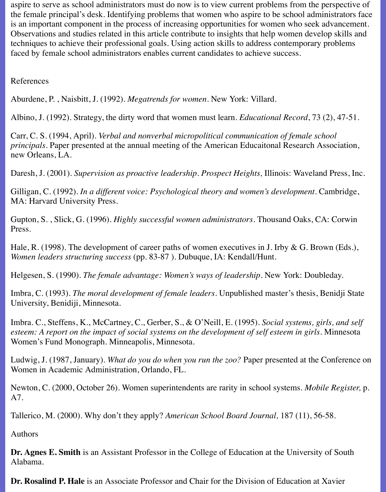aspire to serve as school administrators must do now is to view current problems from the perspective of the female principal's desk. Identifying problems that women who aspire to be school administrators face is an important component in the process of increasing opportunities for women who seek advancement. Observations and studies related in this article contribute to insights that help women develop skills and techniques to achieve their professional goals. Using action skills to address contemporary problems faced by female school administrators enables current candidates to achieve success.

References

Aburdene, P. , Naisbitt, J. (1992). *Megatrends for women*. New York: Villard.

Albino, J. (1992). Strategy, the dirty word that women must learn. *Educational Record*, 73 (2), 47-51.

Carr, C. S. (1994, April). *Verbal and nonverbal micropolitical communication of female school principals.* Paper presented at the annual meeting of the American Educaitonal Research Association, new Orleans, LA.

Daresh, J. (2001). *Supervision as proactive leadership. Prospect Heights,* Illinois: Waveland Press, Inc.

Gilligan, C. (1992). *In a different voice: Psychological theory and women's development.* Cambridge, MA: Harvard University Press.

Gupton, S. , Slick, G. (1996). *Highly successful women administrators.* Thousand Oaks, CA: Corwin Press.

Hale, R. (1998). The development of career paths of women executives in J. Irby & G. Brown (Eds.), *Women leaders structuring success* (pp. 83-87 ). Dubuque, IA: Kendall/Hunt.

Helgesen, S. (1990). *The female advantage: Women's ways of leadership.* New York: Doubleday.

Imbra, C. (1993). *The moral development of female leaders.* Unpublished master's thesis, Benidji State University, Benidiji, Minnesota.

Imbra. C., Steffens, K., McCartney, C., Gerber, S., & O'Neill, E. (1995). *Social systems, girls, and self esteem: A report on the impact of social systems on the development of self esteem in girls.* Minnesota Women's Fund Monograph. Minneapolis, Minnesota.

Ludwig, J. (1987, January). *What do you do when you run the zoo?* Paper presented at the Conference on Women in Academic Administration, Orlando, FL.

Newton, C. (2000, October 26). Women superintendents are rarity in school systems. *Mobile Register,* p. A7.

Tallerico, M. (2000). Why don't they apply? *American School Board Journal,* 187 (11), 56-58.

Authors

**Dr. Agnes E. Smith** is an Assistant Professor in the College of Education at the University of South Alabama.

**Dr. Rosalind P. Hale** is an Associate Professor and Chair for the Division of Education at Xavier